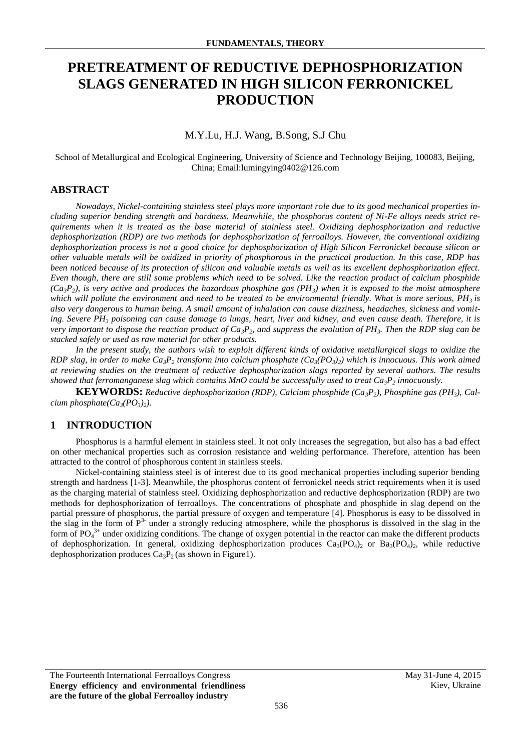# **PRETREATMENT OF REDUCTIVE DEPHOSPHORIZATION SLAGS GENERATED IN HIGH SILICON FERRONICKEL PRODUCTION**

## M.Y.Lu, H.J. Wang, B.Song, S.J Chu

School of Metallurgical and Ecological Engineering, University of Science and Technology Beijing, 100083, Beijing, China; Email:lumingying0402@126.com

# **ABSTRACT**

*Nowadays, Nickel-containing stainless steel plays more important role due to its good mechanical properties including superior bending strength and hardness. Meanwhile, the phosphorus content of Ni-Fe alloys needs strict requirements when it is treated as the base material of stainless steel. Oxidizing dephosphorization and reductive dephosphorization (RDP) are two methods for dephosphorization of ferroalloys. However, the conventional oxidizing dephosphorization process is not a good choice for dephosphorization of High Silicon Ferronickel because silicon or other valuable metals will be oxidized in priority of phosphorous in the practical production. In this case, RDP has been noticed because of its protection of silicon and valuable metals as well as its excellent dephosphorization effect. Even though, there are still some problems which need to be solved. Like the reaction product of calcium phosphide (Ca3P2), is very active and produces the hazardous phosphine gas (PH3) when it is exposed to the moist atmosphere which will pollute the environment and need to be treated to be environmental friendly. What is more serious, PH3 is also very dangerous to human being. A small amount of inhalation can cause dizziness, headaches, sickness and vomiting. Severe PH<sup>3</sup> poisoning can cause damage to lungs, heart, liver and kidney, and even cause death. Therefore, it is very important to dispose the reaction product of Ca3P2, and suppress the evolution of PH3. Then the RDP slag can be stacked safely or used as raw material for other products.*

In the present study, the authors wish to exploit different kinds of oxidative metallurgical slags to oxidize the *RDP slag, in order to make Ca3P<sup>2</sup> transform into calcium phosphate (Ca3(PO3)2) which is innocuous. This work aimed at reviewing studies on the treatment of reductive dephosphorization slags reported by several authors. The results showed that ferromanganese slag which contains MnO could be successfully used to treat Ca3P<sup>2</sup> innocuously.*

**KEYWORDS:** *Reductive dephosphorization (RDP), Calcium phosphide (Ca3P2), Phosphine gas (PH3), Calcium phosphate(Ca3(PO3)2).*

## **1 INTRODUCTION**

Phosphorus is a harmful element in stainless steel. It not only increases the segregation, but also has a bad effect on other mechanical properties such as corrosion resistance and welding performance. Therefore, attention has been attracted to the control of phosphorous content in stainless steels.

Nickel-containing stainless steel is of interest due to its good mechanical properties including superior bending strength and hardness [1-3]. Meanwhile, the phosphorus content of ferronickel needs strict requirements when it is used as the charging material of stainless steel. Oxidizing dephosphorization and reductive dephosphorization (RDP) are two methods for dephosphorization of ferroalloys. The concentrations of phosphate and phosphide in slag depend on the partial pressure of phosphorus, the partial pressure of oxygen and temperature [4]. Phosphorus is easy to be dissolved in the slag in the form of  $P<sup>3-</sup>$  under a strongly reducing atmosphere, while the phosphorus is dissolved in the slag in the form of  $PO_4^{3+}$  under oxidizing conditions. The change of oxygen potential in the reactor can make the different products of dephosphorization. In general, oxidizing dephosphorization produces  $Ca_3(PO_4)_2$  or  $Ba_3(PO_4)_2$ , while reductive dephosphorization produces  $Ca_3P_2$  (as shown in Figure1).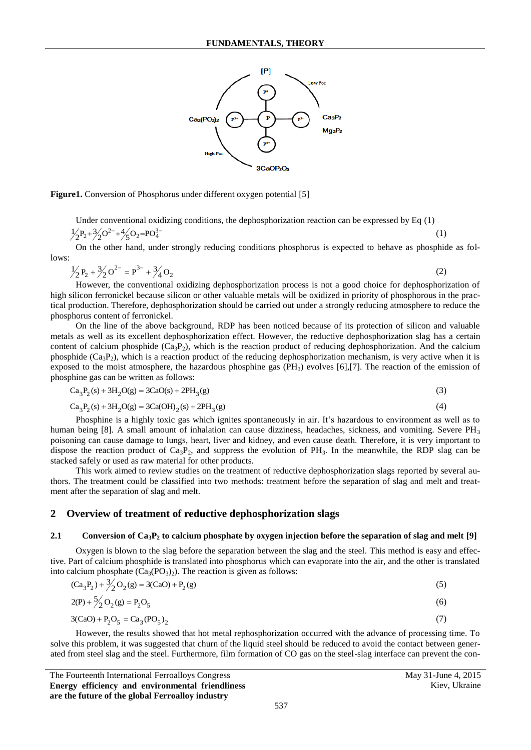

**Figure1.** Conversion of Phosphorus under different oxygen potential [5]

Under conventional oxidizing conditions, the dephosphorization reaction can be expressed by Eq (1)  $\frac{1}{2}P_2 + \frac{3}{2}O^{2-} + \frac{4}{5}O_2 = PO_4^{3-}$ (1)

On the other hand, under strongly reducing conditions phosphorus is expected to behave as phosphide as follows:

$$
\frac{1}{2}P_2 + \frac{3}{2}O^{2-} = P^{3-} + \frac{3}{4}O_2
$$

(2)

(4)

However, the conventional oxidizing dephosphorization process is not a good choice for dephosphorization of high silicon ferronickel because silicon or other valuable metals will be oxidized in priority of phosphorous in the practical production. Therefore, dephosphorization should be carried out under a strongly reducing atmosphere to reduce the phosphorus content of ferronickel.

On the line of the above background, RDP has been noticed because of its protection of silicon and valuable metals as well as its excellent dephosphorization effect. However, the reductive dephosphorization slag has a certain content of calcium phosphide  $(Ca_3P_2)$ , which is the reaction product of reducing dephosphorization. And the calcium phosphide  $(Ca_3P_2)$ , which is a reaction product of the reducing dephosphorization mechanism, is very active when it is exposed to the moist atmosphere, the hazardous phosphine gas  $(PH_3)$  evolves [6],[7]. The reaction of the emission of

phosphine gas can be written as follows:  
\n
$$
Ca_3P_2(s) + 3H_2O(g) = 3CaO(s) + 2PH_3(g)
$$
\n(3)

$$
Ca3P2(s) + 3H2O(g) = 3Ca(OH)2(s) + 2PH3(g)
$$
  

$$
Ca3P2(s) + 3H2O(g) = 3Ca(OH)2(s) + 2PH3(g)
$$

Phosphine is a highly toxic gas which ignites spontaneously in air. It's hazardous to environment as well as to human being [8]. A small amount of inhalation can cause dizziness, headaches, sickness, and vomiting. Severe  $PH_3$ poisoning can cause damage to lungs, heart, liver and kidney, and even cause death. Therefore, it is very important to dispose the reaction product of  $Ca_3P_2$ , and suppress the evolution of PH<sub>3</sub>. In the meanwhile, the RDP slag can be stacked safely or used as raw material for other products.

This work aimed to review studies on the treatment of reductive dephosphorization slags reported by several authors. The treatment could be classified into two methods: treatment before the separation of slag and melt and treatment after the separation of slag and melt.

# **2 Overview of treatment of reductive dephosphorization slags**

#### **2.1 Conversion of Ca3P<sup>2</sup> to calcium phosphate by oxygen injection before the separation of slag and melt [9]**

Oxygen is blown to the slag before the separation between the slag and the steel. This method is easy and effective. Part of calcium phosphide is translated into phosphorus which can evaporate into the air, and the other is translated

into calcium phosphate 
$$
(Ca_3(PO_3)_2)
$$
. The reaction is given as follows:  
\n $(Ca_3P_2) + \frac{3}{2}O_2(g) = 3(CaO) + P_2(g)$   
\n $2(P) + \frac{5}{2}O_2(g) = P_2O_5$   
\n $3(CaO) + P_2O_5 = Ca_3(PO_5)_2$  (7)

However, the results showed that hot metal rephosphorization occurred with the advance of processing time. To solve this problem, it was suggested that churn of the liquid steel should be reduced to avoid the contact between generated from steel slag and the steel. Furthermore, film formation of CO gas on the steel-slag interface can prevent the con-

The Fourteenth International Ferroalloys Congress May 31-June 4, 2015 **Energy efficiency and environmental friendliness are the future of the global Ferroalloy industry**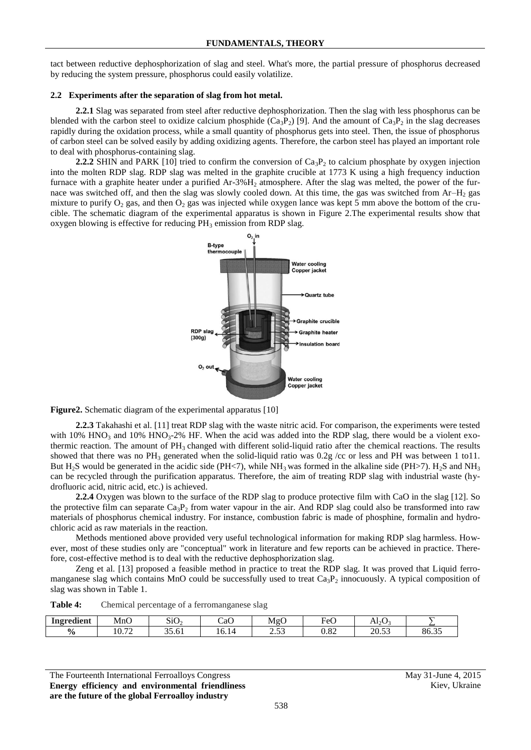tact between reductive dephosphorization of slag and steel. What's more, the partial pressure of phosphorus decreased by reducing the system pressure, phosphorus could easily volatilize.

### **2.2 Experiments after the separation of slag from hot metal.**

**2.2.1** Slag was separated from steel after reductive dephosphorization. Then the slag with less phosphorus can be blended with the carbon steel to oxidize calcium phosphide  $(Ca_3P_2)$  [9]. And the amount of  $Ca_3P_2$  in the slag decreases rapidly during the oxidation process, while a small quantity of phosphorus gets into steel. Then, the issue of phosphorus of carbon steel can be solved easily by adding oxidizing agents. Therefore, the carbon steel has played an important role to deal with phosphorus-containing slag.

**2.2.2** SHIN and PARK [10] tried to confirm the conversion of  $Ca_3P_2$  to calcium phosphate by oxygen injection into the molten RDP slag. RDP slag was melted in the graphite crucible at 1773 K using a high frequency induction furnace with a graphite heater under a purified  $Ar-3\%H<sub>2</sub>$  atmosphere. After the slag was melted, the power of the furnace was switched off, and then the slag was slowly cooled down. At this time, the gas was switched from  $Ar-H<sub>2</sub>$  gas mixture to purify  $O_2$  gas, and then  $O_2$  gas was injected while oxygen lance was kept 5 mm above the bottom of the crucible. The schematic diagram of the experimental apparatus is shown in Figure 2.The experimental results show that oxygen blowing is effective for reducing  $PH_3$  emission from RDP slag.



**Figure2.** Schematic diagram of the experimental apparatus [10]

**2.2.3** Takahashi et al. [11] treat RDP slag with the waste nitric acid. For comparison, the experiments were tested with  $10\%$  HNO<sub>3</sub> and  $10\%$  HNO<sub>3</sub>-2% HF. When the acid was added into the RDP slag, there would be a violent exothermic reaction. The amount of  $PH_3$  changed with different solid-liquid ratio after the chemical reactions. The results showed that there was no PH<sub>3</sub> generated when the solid-liquid ratio was  $0.2g$  /cc or less and PH was between 1 to11. But H<sub>2</sub>S would be generated in the acidic side (PH $\lt$ 7), while NH<sub>3</sub> was formed in the alkaline side (PH $>$ 7). H<sub>2</sub>S and NH<sub>3</sub> can be recycled through the purification apparatus. Therefore, the aim of treating RDP slag with industrial waste (hydrofluoric acid, nitric acid, etc.) is achieved.

**2.2.4** Oxygen was blown to the surface of the RDP slag to produce protective film with CaO in the slag [12]. So the protective film can separate  $Ca_3P_2$  from water vapour in the air. And RDP slag could also be transformed into raw materials of phosphorus chemical industry. For instance, combustion fabric is made of phosphine, formalin and hydrochloric acid as raw materials in the reaction.

Methods mentioned above provided very useful technological information for making RDP slag harmless. However, most of these studies only are "conceptual" work in literature and few reports can be achieved in practice. Therefore, cost-effective method is to deal with the reductive dephosphorization slag.

Zeng et al. [13] proposed a feasible method in practice to treat the RDP slag. It was proved that Liquid ferromanganese slag which contains MnO could be successfully used to treat Ca<sub>3</sub>P<sub>2</sub> innocuously. A typical composition of slag was shown in Table 1.

| Table 4: |  |  | Chemical percentage of a ferromanganese slag |  |
|----------|--|--|----------------------------------------------|--|
|----------|--|--|----------------------------------------------|--|

| $\mathbf{u}$<br>Ingredient | $\sim$<br>MnC  | $\sim$ . $\sim$<br>-51U | $\sqrt{2}$<br>∵a∪   | MgC            | $\blacksquare$<br>HΑ<br>∾ | $\sqrt{2}$<br>$A1_2C$<br><u>_</u> |       |
|----------------------------|----------------|-------------------------|---------------------|----------------|---------------------------|-----------------------------------|-------|
| $\frac{6}{9}$              | 10.72<br>10.72 | ~ ~<br>- - -<br>35.61   | r<br>14<br>$10.1 -$ | $\sim$<br>ل ل… | 0.82                      | $\sim$<br>ንስ<br>ل0.∪∠             | 86.35 |

The Fourteenth International Ferroalloys Congress May 31-June 4, 2015 **Energy efficiency and environmental friendliness are the future of the global Ferroalloy industry**